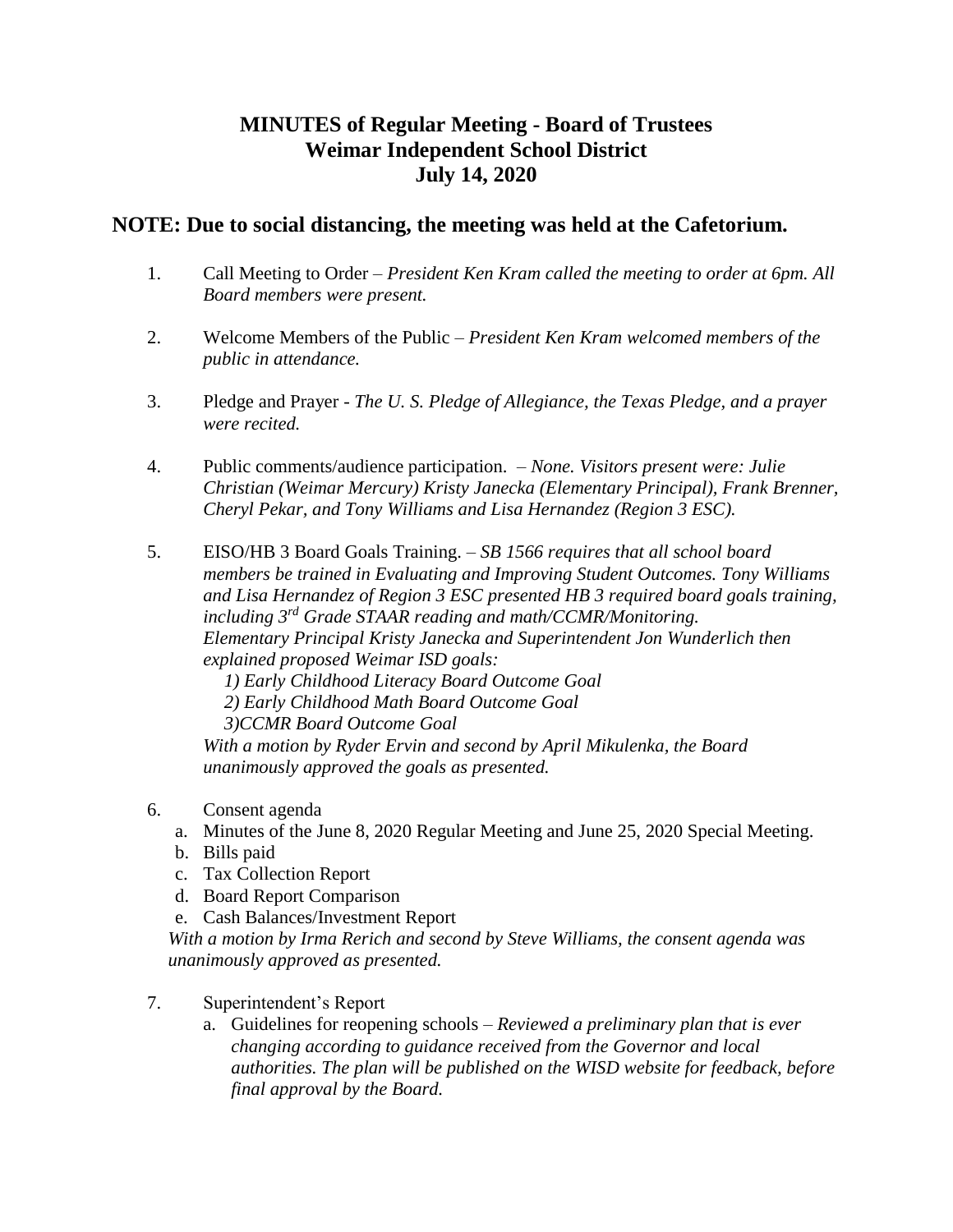## **MINUTES of Regular Meeting - Board of Trustees Weimar Independent School District July 14, 2020**

## **NOTE: Due to social distancing, the meeting was held at the Cafetorium.**

- 1. Call Meeting to Order *President Ken Kram called the meeting to order at 6pm. All Board members were present.*
- 2. Welcome Members of the Public *President Ken Kram welcomed members of the public in attendance.*
- 3. Pledge and Prayer *The U. S. Pledge of Allegiance, the Texas Pledge, and a prayer were recited.*
- 4. Public comments/audience participation. *None. Visitors present were: Julie Christian (Weimar Mercury) Kristy Janecka (Elementary Principal), Frank Brenner, Cheryl Pekar, and Tony Williams and Lisa Hernandez (Region 3 ESC).*
- 5. EISO/HB 3 Board Goals Training. *SB 1566 requires that all school board members be trained in Evaluating and Improving Student Outcomes. Tony Williams and Lisa Hernandez of Region 3 ESC presented HB 3 required board goals training, including 3rd Grade STAAR reading and math/CCMR/Monitoring. Elementary Principal Kristy Janecka and Superintendent Jon Wunderlich then explained proposed Weimar ISD goals:* 
	- *1) Early Childhood Literacy Board Outcome Goal*
	- *2) Early Childhood Math Board Outcome Goal*
	- *3)CCMR Board Outcome Goal*

*With a motion by Ryder Ervin and second by April Mikulenka, the Board unanimously approved the goals as presented.*

## 6. Consent agenda

- a. Minutes of the June 8, 2020 Regular Meeting and June 25, 2020 Special Meeting.
- b. Bills paid
- c. Tax Collection Report
- d. Board Report Comparison
- e. Cash Balances/Investment Report

*With a motion by Irma Rerich and second by Steve Williams, the consent agenda was unanimously approved as presented.* 

## 7. Superintendent's Report

a. Guidelines for reopening schools – *Reviewed a preliminary plan that is ever changing according to guidance received from the Governor and local authorities. The plan will be published on the WISD website for feedback, before final approval by the Board.*